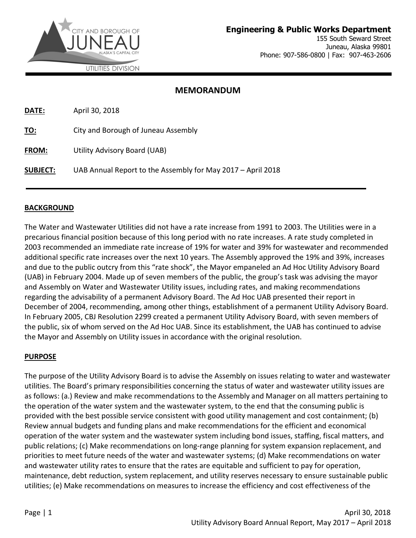

### MEMORANDUM

| <b>DATE:</b>    | April 30, 2018                                              |
|-----------------|-------------------------------------------------------------|
| TO:             | City and Borough of Juneau Assembly                         |
| <b>FROM:</b>    | Utility Advisory Board (UAB)                                |
| <b>SUBJECT:</b> | UAB Annual Report to the Assembly for May 2017 - April 2018 |

### BACKGROUND

The Water and Wastewater Utilities did not have a rate increase from 1991 to 2003. The Utilities were in a precarious financial position because of this long period with no rate increases. A rate study completed in 2003 recommended an immediate rate increase of 19% for water and 39% for wastewater and recommended additional specific rate increases over the next 10 years. The Assembly approved the 19% and 39%, increases and due to the public outcry from this "rate shock", the Mayor empaneled an Ad Hoc Utility Advisory Board (UAB) in February 2004. Made up of seven members of the public, the group's task was advising the mayor and Assembly on Water and Wastewater Utility issues, including rates, and making recommendations regarding the advisability of a permanent Advisory Board. The Ad Hoc UAB presented their report in December of 2004, recommending, among other things, establishment of a permanent Utility Advisory Board. In February 2005, CBJ Resolution 2299 created a permanent Utility Advisory Board, with seven members of the public, six of whom served on the Ad Hoc UAB. Since its establishment, the UAB has continued to advise the Mayor and Assembly on Utility issues in accordance with the original resolution.

### PURPOSE

The purpose of the Utility Advisory Board is to advise the Assembly on issues relating to water and wastewater utilities. The Board's primary responsibilities concerning the status of water and wastewater utility issues are as follows: (a.) Review and make recommendations to the Assembly and Manager on all matters pertaining to the operation of the water system and the wastewater system, to the end that the consuming public is provided with the best possible service consistent with good utility management and cost containment; (b) Review annual budgets and funding plans and make recommendations for the efficient and economical operation of the water system and the wastewater system including bond issues, staffing, fiscal matters, and public relations; (c) Make recommendations on long-range planning for system expansion replacement, and priorities to meet future needs of the water and wastewater systems; (d) Make recommendations on water and wastewater utility rates to ensure that the rates are equitable and sufficient to pay for operation, maintenance, debt reduction, system replacement, and utility reserves necessary to ensure sustainable public utilities; (e) Make recommendations on measures to increase the efficiency and cost effectiveness of the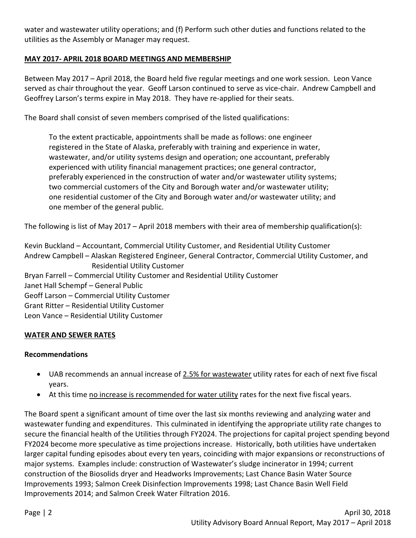water and wastewater utility operations; and (f) Perform such other duties and functions related to the utilities as the Assembly or Manager may request.

### MAY 2017- APRIL 2018 BOARD MEETINGS AND MEMBERSHIP

Between May 2017 – April 2018, the Board held five regular meetings and one work session. Leon Vance served as chair throughout the year. Geoff Larson continued to serve as vice-chair. Andrew Campbell and Geoffrey Larson's terms expire in May 2018. They have re-applied for their seats.

The Board shall consist of seven members comprised of the listed qualifications:

To the extent practicable, appointments shall be made as follows: one engineer registered in the State of Alaska, preferably with training and experience in water, wastewater, and/or utility systems design and operation; one accountant, preferably experienced with utility financial management practices; one general contractor, preferably experienced in the construction of water and/or wastewater utility systems; two commercial customers of the City and Borough water and/or wastewater utility; one residential customer of the City and Borough water and/or wastewater utility; and one member of the general public.

The following is list of May 2017 – April 2018 members with their area of membership qualification(s):

Kevin Buckland – Accountant, Commercial Utility Customer, and Residential Utility Customer Andrew Campbell – Alaskan Registered Engineer, General Contractor, Commercial Utility Customer, and Residential Utility Customer Bryan Farrell – Commercial Utility Customer and Residential Utility Customer Janet Hall Schempf – General Public Geoff Larson – Commercial Utility Customer Grant Ritter – Residential Utility Customer Leon Vance – Residential Utility Customer

### WATER AND SEWER RATES

### Recommendations

- UAB recommends an annual increase of 2.5% for wastewater utility rates for each of next five fiscal years.
- At this time no increase is recommended for water utility rates for the next five fiscal years.

The Board spent a significant amount of time over the last six months reviewing and analyzing water and wastewater funding and expenditures. This culminated in identifying the appropriate utility rate changes to secure the financial health of the Utilities through FY2024. The projections for capital project spending beyond FY2024 become more speculative as time projections increase. Historically, both utilities have undertaken larger capital funding episodes about every ten years, coinciding with major expansions or reconstructions of major systems. Examples include: construction of Wastewater's sludge incinerator in 1994; current construction of the Biosolids dryer and Headworks Improvements; Last Chance Basin Water Source Improvements 1993; Salmon Creek Disinfection Improvements 1998; Last Chance Basin Well Field Improvements 2014; and Salmon Creek Water Filtration 2016.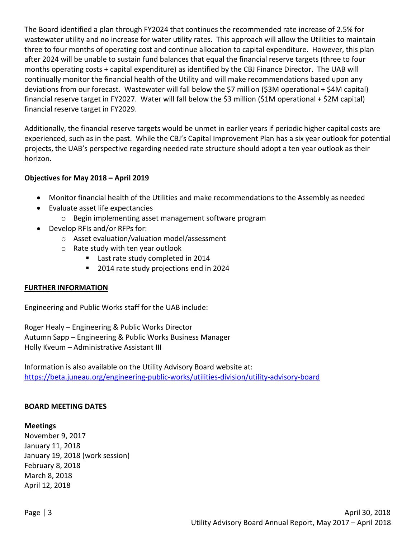The Board identified a plan through FY2024 that continues the recommended rate increase of 2.5% for wastewater utility and no increase for water utility rates. This approach will allow the Utilities to maintain three to four months of operating cost and continue allocation to capital expenditure. However, this plan after 2024 will be unable to sustain fund balances that equal the financial reserve targets (three to four months operating costs + capital expenditure) as identified by the CBJ Finance Director. The UAB will continually monitor the financial health of the Utility and will make recommendations based upon any deviations from our forecast. Wastewater will fall below the \$7 million (\$3M operational + \$4M capital) financial reserve target in FY2027. Water will fall below the \$3 million (\$1M operational + \$2M capital) financial reserve target in FY2029.

Additionally, the financial reserve targets would be unmet in earlier years if periodic higher capital costs are experienced, such as in the past. While the CBJ's Capital Improvement Plan has a six year outlook for potential projects, the UAB's perspective regarding needed rate structure should adopt a ten year outlook as their horizon.

### Objectives for May 2018 – April 2019

- Monitor financial health of the Utilities and make recommendations to the Assembly as needed
- Evaluate asset life expectancies
	- o Begin implementing asset management software program
- Develop RFIs and/or RFPs for:
	- o Asset evaluation/valuation model/assessment
	- o Rate study with ten year outlook
		- Last rate study completed in 2014
		- **2014 rate study projections end in 2024**

### FURTHER INFORMATION

Engineering and Public Works staff for the UAB include:

Roger Healy – Engineering & Public Works Director Autumn Sapp – Engineering & Public Works Business Manager Holly Kveum – Administrative Assistant III

Information is also available on the Utility Advisory Board website at: https://beta.juneau.org/engineering-public-works/utilities-division/utility-advisory-board

### BOARD MEETING DATES

### Meetings

November 9, 2017 January 11, 2018 January 19, 2018 (work session) February 8, 2018 March 8, 2018 April 12, 2018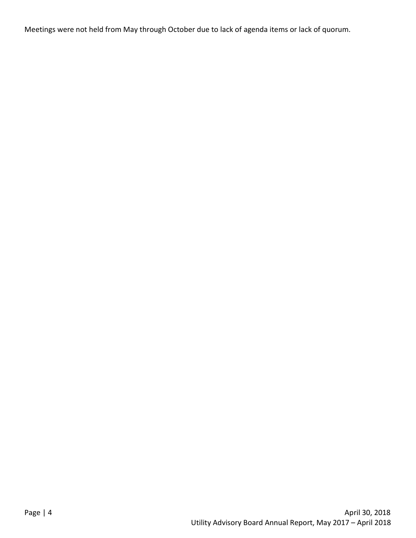Meetings were not held from May through October due to lack of agenda items or lack of quorum.